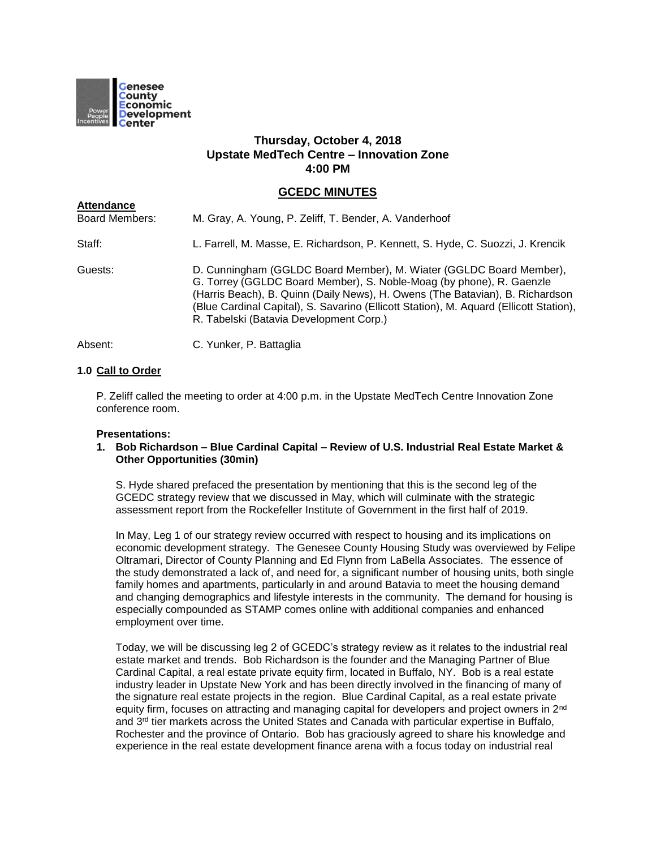

**Attendance**

# **Thursday, October 4, 2018 Upstate MedTech Centre – Innovation Zone 4:00 PM**

# **GCEDC MINUTES**

Board Members: M. Gray, A. Young, P. Zeliff, T. Bender, A. Vanderhoof Staff: L. Farrell, M. Masse, E. Richardson, P. Kennett, S. Hyde, C. Suozzi, J. Krencik Guests: D. Cunningham (GGLDC Board Member), M. Wiater (GGLDC Board Member), G. Torrey (GGLDC Board Member), S. Noble-Moag (by phone), R. Gaenzle (Harris Beach), B. Quinn (Daily News), H. Owens (The Batavian), B. Richardson (Blue Cardinal Capital), S. Savarino (Ellicott Station), M. Aquard (Ellicott Station), R. Tabelski (Batavia Development Corp.)

Absent: C. Yunker, P. Battaglia

# **1.0 Call to Order**

P. Zeliff called the meeting to order at 4:00 p.m. in the Upstate MedTech Centre Innovation Zone conference room.

# **Presentations:**

#### **1. Bob Richardson – Blue Cardinal Capital – Review of U.S. Industrial Real Estate Market & Other Opportunities (30min)**

S. Hyde shared prefaced the presentation by mentioning that this is the second leg of the GCEDC strategy review that we discussed in May, which will culminate with the strategic assessment report from the Rockefeller Institute of Government in the first half of 2019.

In May, Leg 1 of our strategy review occurred with respect to housing and its implications on economic development strategy. The Genesee County Housing Study was overviewed by Felipe Oltramari, Director of County Planning and Ed Flynn from LaBella Associates. The essence of the study demonstrated a lack of, and need for, a significant number of housing units, both single family homes and apartments, particularly in and around Batavia to meet the housing demand and changing demographics and lifestyle interests in the community. The demand for housing is especially compounded as STAMP comes online with additional companies and enhanced employment over time.

Today, we will be discussing leg 2 of GCEDC's strategy review as it relates to the industrial real estate market and trends. Bob Richardson is the founder and the Managing Partner of Blue Cardinal Capital, a real estate private equity firm, located in Buffalo, NY. Bob is a real estate industry leader in Upstate New York and has been directly involved in the financing of many of the signature real estate projects in the region. Blue Cardinal Capital, as a real estate private equity firm, focuses on attracting and managing capital for developers and project owners in 2<sup>nd</sup> and  $3<sup>rd</sup>$  tier markets across the United States and Canada with particular expertise in Buffalo, Rochester and the province of Ontario. Bob has graciously agreed to share his knowledge and experience in the real estate development finance arena with a focus today on industrial real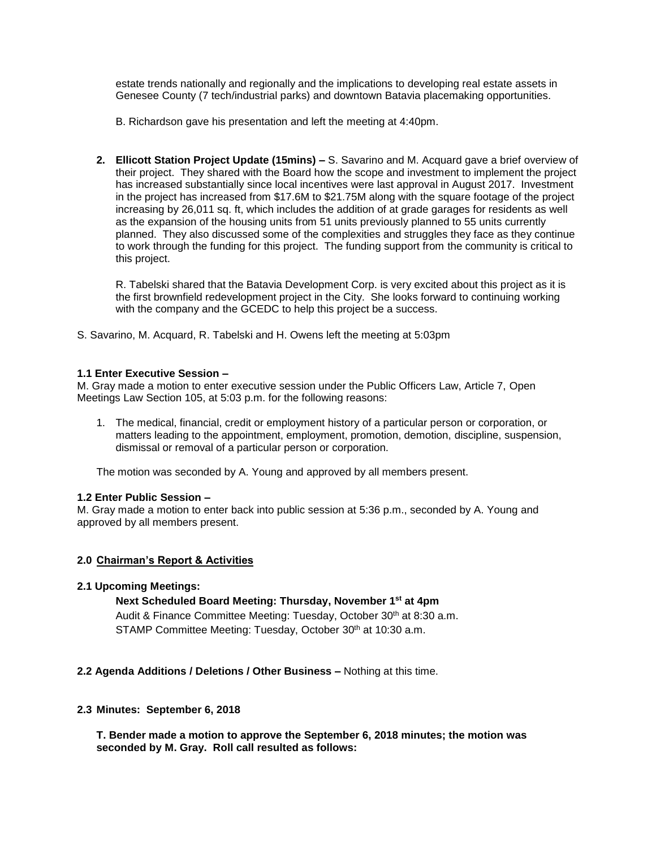estate trends nationally and regionally and the implications to developing real estate assets in Genesee County (7 tech/industrial parks) and downtown Batavia placemaking opportunities.

B. Richardson gave his presentation and left the meeting at 4:40pm.

**2. Ellicott Station Project Update (15mins) –** S. Savarino and M. Acquard gave a brief overview of their project. They shared with the Board how the scope and investment to implement the project has increased substantially since local incentives were last approval in August 2017. Investment in the project has increased from \$17.6M to \$21.75M along with the square footage of the project increasing by 26,011 sq. ft, which includes the addition of at grade garages for residents as well as the expansion of the housing units from 51 units previously planned to 55 units currently planned. They also discussed some of the complexities and struggles they face as they continue to work through the funding for this project. The funding support from the community is critical to this project.

R. Tabelski shared that the Batavia Development Corp. is very excited about this project as it is the first brownfield redevelopment project in the City. She looks forward to continuing working with the company and the GCEDC to help this project be a success.

S. Savarino, M. Acquard, R. Tabelski and H. Owens left the meeting at 5:03pm

# **1.1 Enter Executive Session –**

M. Gray made a motion to enter executive session under the Public Officers Law, Article 7, Open Meetings Law Section 105, at 5:03 p.m. for the following reasons:

1. The medical, financial, credit or employment history of a particular person or corporation, or matters leading to the appointment, employment, promotion, demotion, discipline, suspension, dismissal or removal of a particular person or corporation.

The motion was seconded by A. Young and approved by all members present.

# **1.2 Enter Public Session –**

M. Gray made a motion to enter back into public session at 5:36 p.m., seconded by A. Young and approved by all members present.

# **2.0 Chairman's Report & Activities**

# **2.1 Upcoming Meetings:**

# **Next Scheduled Board Meeting: Thursday, November 1st at 4pm**

Audit & Finance Committee Meeting: Tuesday, October 30<sup>th</sup> at 8:30 a.m. STAMP Committee Meeting: Tuesday, October 30<sup>th</sup> at 10:30 a.m.

# **2.2 Agenda Additions / Deletions / Other Business –** Nothing at this time.

# **2.3 Minutes: September 6, 2018**

**T. Bender made a motion to approve the September 6, 2018 minutes; the motion was seconded by M. Gray. Roll call resulted as follows:**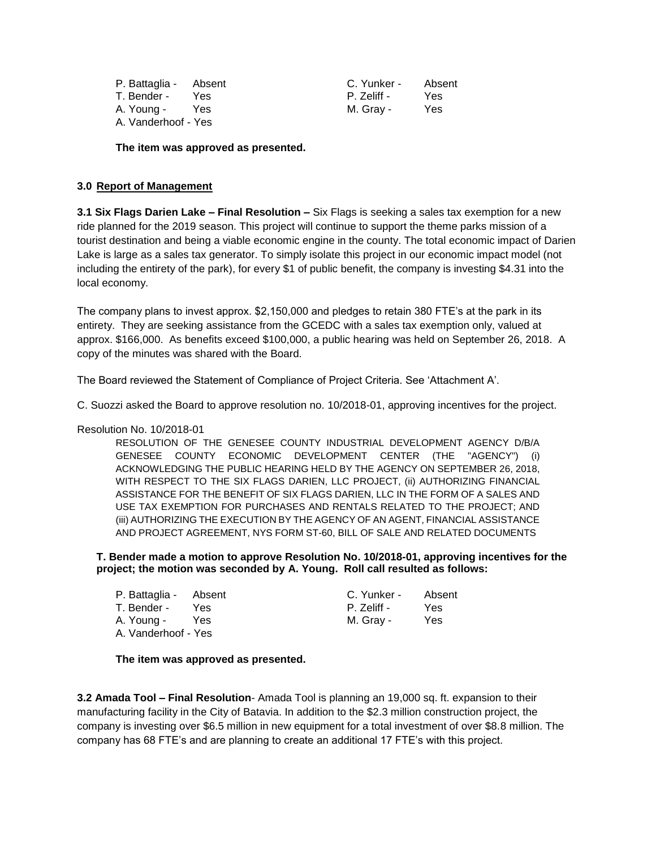| P. Battaglia - Absent |      | C. Yunker - | Absent |
|-----------------------|------|-------------|--------|
| T. Bender -           | Yes. | P. Zeliff - | Yes    |
| A. Young -            | Yes  | M. Gray -   | Yes    |
| A. Vanderhoof - Yes   |      |             |        |

**The item was approved as presented.**

# **3.0 Report of Management**

**3.1 Six Flags Darien Lake – Final Resolution –** Six Flags is seeking a sales tax exemption for a new ride planned for the 2019 season. This project will continue to support the theme parks mission of a tourist destination and being a viable economic engine in the county. The total economic impact of Darien Lake is large as a sales tax generator. To simply isolate this project in our economic impact model (not including the entirety of the park), for every \$1 of public benefit, the company is investing \$4.31 into the local economy.

The company plans to invest approx. \$2,150,000 and pledges to retain 380 FTE's at the park in its entirety. They are seeking assistance from the GCEDC with a sales tax exemption only, valued at approx. \$166,000. As benefits exceed \$100,000, a public hearing was held on September 26, 2018. A copy of the minutes was shared with the Board.

The Board reviewed the Statement of Compliance of Project Criteria. See 'Attachment A'.

C. Suozzi asked the Board to approve resolution no. 10/2018-01, approving incentives for the project.

#### Resolution No. 10/2018-01

RESOLUTION OF THE GENESEE COUNTY INDUSTRIAL DEVELOPMENT AGENCY D/B/A GENESEE COUNTY ECONOMIC DEVELOPMENT CENTER (THE "AGENCY") (i) ACKNOWLEDGING THE PUBLIC HEARING HELD BY THE AGENCY ON SEPTEMBER 26, 2018, WITH RESPECT TO THE SIX FLAGS DARIEN, LLC PROJECT, (ii) AUTHORIZING FINANCIAL ASSISTANCE FOR THE BENEFIT OF SIX FLAGS DARIEN, LLC IN THE FORM OF A SALES AND USE TAX EXEMPTION FOR PURCHASES AND RENTALS RELATED TO THE PROJECT; AND (iii) AUTHORIZING THE EXECUTION BY THE AGENCY OF AN AGENT, FINANCIAL ASSISTANCE AND PROJECT AGREEMENT, NYS FORM ST-60, BILL OF SALE AND RELATED DOCUMENTS

**T. Bender made a motion to approve Resolution No. 10/2018-01, approving incentives for the project; the motion was seconded by A. Young. Roll call resulted as follows:**

| P. Battaglia - Absent |      | C. Yunker - | Absent |
|-----------------------|------|-------------|--------|
| T. Bender -           | Yes. | P. Zeliff - | Yes    |
| A. Young -            | Yes  | M. Gray -   | Yes    |
| A. Vanderhoof - Yes   |      |             |        |

#### **The item was approved as presented.**

**3.2 Amada Tool – Final Resolution**- Amada Tool is planning an 19,000 sq. ft. expansion to their manufacturing facility in the City of Batavia. In addition to the \$2.3 million construction project, the company is investing over \$6.5 million in new equipment for a total investment of over \$8.8 million. The company has 68 FTE's and are planning to create an additional 17 FTE's with this project.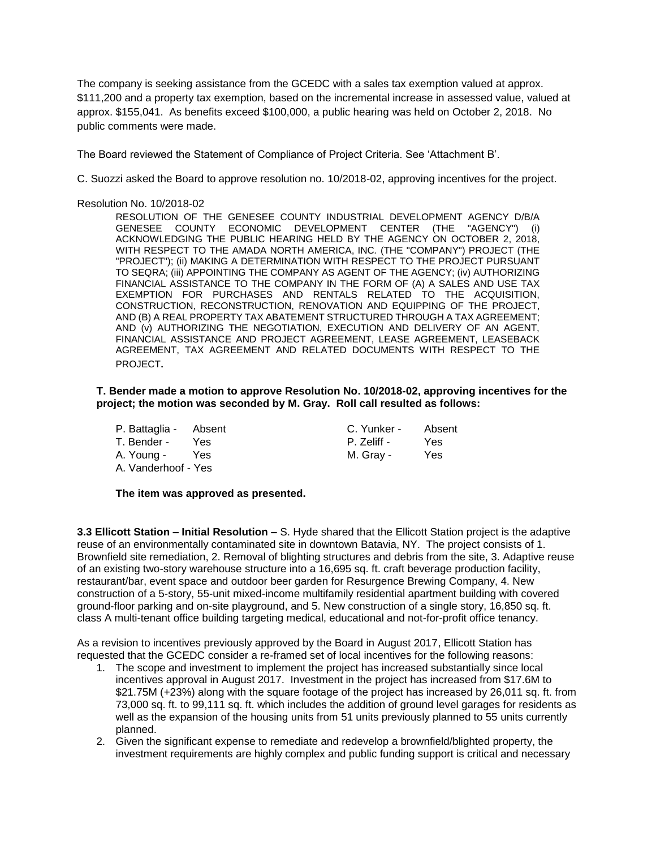The company is seeking assistance from the GCEDC with a sales tax exemption valued at approx. \$111,200 and a property tax exemption, based on the incremental increase in assessed value, valued at approx. \$155,041. As benefits exceed \$100,000, a public hearing was held on October 2, 2018. No public comments were made.

The Board reviewed the Statement of Compliance of Project Criteria. See 'Attachment B'.

C. Suozzi asked the Board to approve resolution no. 10/2018-02, approving incentives for the project.

Resolution No. 10/2018-02

RESOLUTION OF THE GENESEE COUNTY INDUSTRIAL DEVELOPMENT AGENCY D/B/A GENESEE COUNTY ECONOMIC DEVELOPMENT CENTER (THE "AGENCY") (i) ACKNOWLEDGING THE PUBLIC HEARING HELD BY THE AGENCY ON OCTOBER 2, 2018, WITH RESPECT TO THE AMADA NORTH AMERICA, INC*.* (THE "COMPANY") PROJECT (THE "PROJECT"); (ii) MAKING A DETERMINATION WITH RESPECT TO THE PROJECT PURSUANT TO SEQRA; (iii) APPOINTING THE COMPANY AS AGENT OF THE AGENCY; (iv) AUTHORIZING FINANCIAL ASSISTANCE TO THE COMPANY IN THE FORM OF (A) A SALES AND USE TAX EXEMPTION FOR PURCHASES AND RENTALS RELATED TO THE ACQUISITION, CONSTRUCTION, RECONSTRUCTION, RENOVATION AND EQUIPPING OF THE PROJECT, AND (B) A REAL PROPERTY TAX ABATEMENT STRUCTURED THROUGH A TAX AGREEMENT; AND (v) AUTHORIZING THE NEGOTIATION, EXECUTION AND DELIVERY OF AN AGENT, FINANCIAL ASSISTANCE AND PROJECT AGREEMENT, LEASE AGREEMENT, LEASEBACK AGREEMENT, TAX AGREEMENT AND RELATED DOCUMENTS WITH RESPECT TO THE PROJECT.

#### **T. Bender made a motion to approve Resolution No. 10/2018-02, approving incentives for the project; the motion was seconded by M. Gray. Roll call resulted as follows:**

| P. Battaglia - Absent |            | C. Yunker - | Absent |
|-----------------------|------------|-------------|--------|
| T. Bender -           | Yes.       | P. Zeliff - | Yes    |
| A. Young -            | <b>Yes</b> | M. Gray -   | Yes    |
| A. Vanderhoof - Yes   |            |             |        |

# **The item was approved as presented.**

**3.3 Ellicott Station – Initial Resolution –** S. Hyde shared that the Ellicott Station project is the adaptive reuse of an environmentally contaminated site in downtown Batavia, NY. The project consists of 1. Brownfield site remediation, 2. Removal of blighting structures and debris from the site, 3. Adaptive reuse of an existing two-story warehouse structure into a 16,695 sq. ft. craft beverage production facility, restaurant/bar, event space and outdoor beer garden for Resurgence Brewing Company, 4. New construction of a 5-story, 55-unit mixed-income multifamily residential apartment building with covered ground-floor parking and on-site playground, and 5. New construction of a single story, 16,850 sq. ft. class A multi-tenant office building targeting medical, educational and not-for-profit office tenancy.

As a revision to incentives previously approved by the Board in August 2017, Ellicott Station has requested that the GCEDC consider a re-framed set of local incentives for the following reasons:

- 1. The scope and investment to implement the project has increased substantially since local incentives approval in August 2017. Investment in the project has increased from \$17.6M to \$21.75M (+23%) along with the square footage of the project has increased by 26,011 sq. ft. from 73,000 sq. ft. to 99,111 sq. ft. which includes the addition of ground level garages for residents as well as the expansion of the housing units from 51 units previously planned to 55 units currently planned.
- 2. Given the significant expense to remediate and redevelop a brownfield/blighted property, the investment requirements are highly complex and public funding support is critical and necessary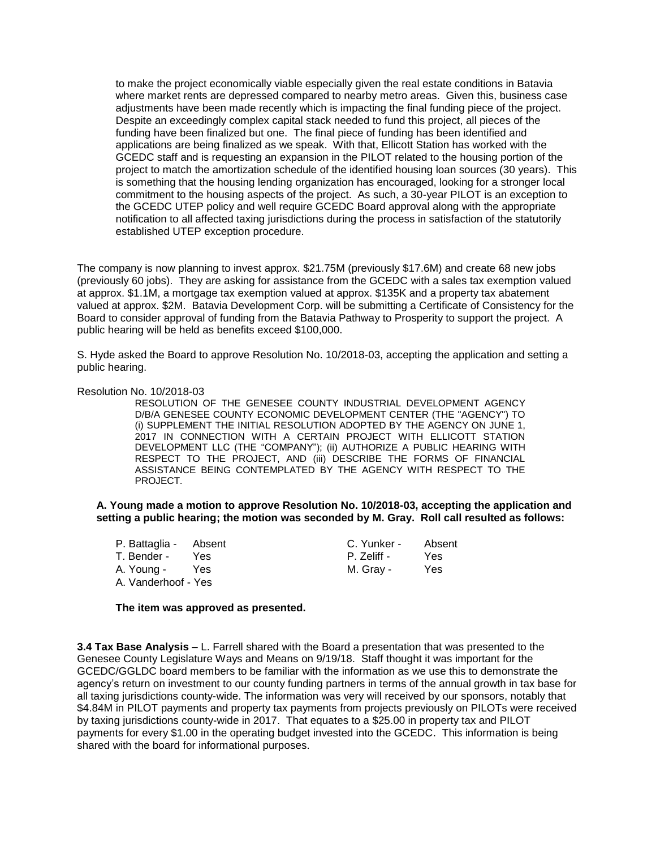to make the project economically viable especially given the real estate conditions in Batavia where market rents are depressed compared to nearby metro areas. Given this, business case adjustments have been made recently which is impacting the final funding piece of the project. Despite an exceedingly complex capital stack needed to fund this project, all pieces of the funding have been finalized but one. The final piece of funding has been identified and applications are being finalized as we speak. With that, Ellicott Station has worked with the GCEDC staff and is requesting an expansion in the PILOT related to the housing portion of the project to match the amortization schedule of the identified housing loan sources (30 years). This is something that the housing lending organization has encouraged, looking for a stronger local commitment to the housing aspects of the project. As such, a 30-year PILOT is an exception to the GCEDC UTEP policy and well require GCEDC Board approval along with the appropriate notification to all affected taxing jurisdictions during the process in satisfaction of the statutorily established UTEP exception procedure.

The company is now planning to invest approx. \$21.75M (previously \$17.6M) and create 68 new jobs (previously 60 jobs). They are asking for assistance from the GCEDC with a sales tax exemption valued at approx. \$1.1M, a mortgage tax exemption valued at approx. \$135K and a property tax abatement valued at approx. \$2M. Batavia Development Corp. will be submitting a Certificate of Consistency for the Board to consider approval of funding from the Batavia Pathway to Prosperity to support the project. A public hearing will be held as benefits exceed \$100,000.

S. Hyde asked the Board to approve Resolution No. 10/2018-03, accepting the application and setting a public hearing.

#### Resolution No. 10/2018-03

RESOLUTION OF THE GENESEE COUNTY INDUSTRIAL DEVELOPMENT AGENCY D/B/A GENESEE COUNTY ECONOMIC DEVELOPMENT CENTER (THE "AGENCY") TO (i) SUPPLEMENT THE INITIAL RESOLUTION ADOPTED BY THE AGENCY ON JUNE 1, 2017 IN CONNECTION WITH A CERTAIN PROJECT WITH ELLICOTT STATION DEVELOPMENT LLC (THE "COMPANY"); (ii) AUTHORIZE A PUBLIC HEARING WITH RESPECT TO THE PROJECT, AND (iii) DESCRIBE THE FORMS OF FINANCIAL ASSISTANCE BEING CONTEMPLATED BY THE AGENCY WITH RESPECT TO THE PROJECT.

**A. Young made a motion to approve Resolution No. 10/2018-03, accepting the application and setting a public hearing; the motion was seconded by M. Gray. Roll call resulted as follows:**

| P. Battaglia - Absent |      | C. Yunker - | Absent |
|-----------------------|------|-------------|--------|
| T. Bender -           | Yes. | P. Zeliff - | Yes    |
| A. Young -            | Yes  | M. Gray -   | Yes    |
| A. Vanderhoof - Yes   |      |             |        |

#### **The item was approved as presented.**

**3.4 Tax Base Analysis –** L. Farrell shared with the Board a presentation that was presented to the Genesee County Legislature Ways and Means on 9/19/18. Staff thought it was important for the GCEDC/GGLDC board members to be familiar with the information as we use this to demonstrate the agency's return on investment to our county funding partners in terms of the annual growth in tax base for all taxing jurisdictions county-wide. The information was very will received by our sponsors, notably that \$4.84M in PILOT payments and property tax payments from projects previously on PILOTs were received by taxing jurisdictions county-wide in 2017. That equates to a \$25.00 in property tax and PILOT payments for every \$1.00 in the operating budget invested into the GCEDC. This information is being shared with the board for informational purposes.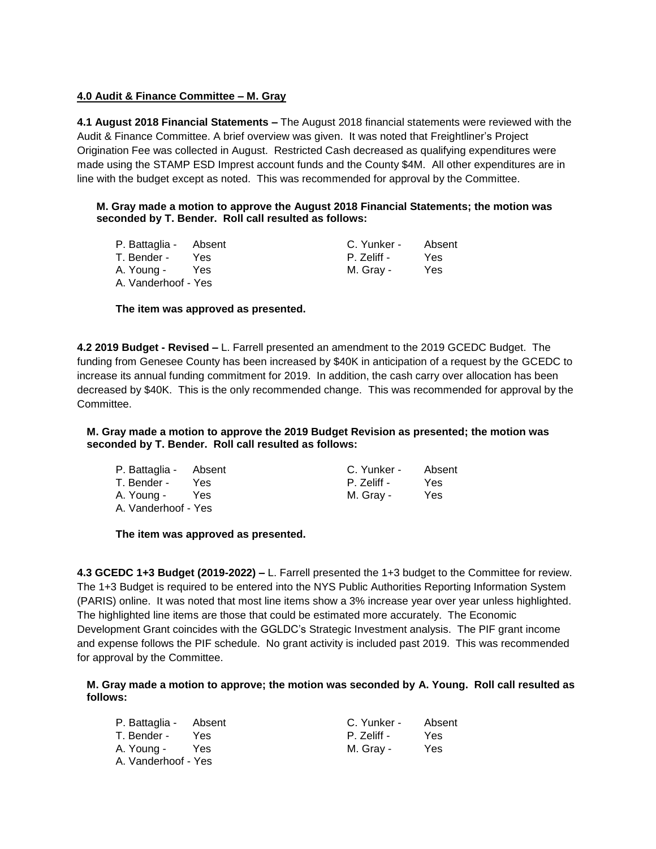# **4.0 Audit & Finance Committee – M. Gray**

**4.1 August 2018 Financial Statements –** The August 2018 financial statements were reviewed with the Audit & Finance Committee. A brief overview was given. It was noted that Freightliner's Project Origination Fee was collected in August. Restricted Cash decreased as qualifying expenditures were made using the STAMP ESD Imprest account funds and the County \$4M. All other expenditures are in line with the budget except as noted. This was recommended for approval by the Committee.

# **M. Gray made a motion to approve the August 2018 Financial Statements; the motion was seconded by T. Bender. Roll call resulted as follows:**

| P. Battaglia - Absent |     | C. Yunker - | Absent |
|-----------------------|-----|-------------|--------|
| T. Bender -           | Yes | P. Zeliff - | Yes    |
| A. Young -            | Yes | M. Gray -   | Yes    |
| A. Vanderhoof - Yes   |     |             |        |

**The item was approved as presented.**

**4.2 2019 Budget - Revised –** L. Farrell presented an amendment to the 2019 GCEDC Budget. The funding from Genesee County has been increased by \$40K in anticipation of a request by the GCEDC to increase its annual funding commitment for 2019. In addition, the cash carry over allocation has been decreased by \$40K. This is the only recommended change. This was recommended for approval by the **Committee.** 

# **M. Gray made a motion to approve the 2019 Budget Revision as presented; the motion was seconded by T. Bender. Roll call resulted as follows:**

| P. Battaglia - Absent |      | C. Yunker - | Absent |
|-----------------------|------|-------------|--------|
| T. Bender -           | Yes. | P. Zeliff - | Yes    |
| A. Young -            | Yes. | M. Grav -   | Yes    |
| A. Vanderhoof - Yes   |      |             |        |

# **The item was approved as presented.**

**4.3 GCEDC 1+3 Budget (2019-2022) –** L. Farrell presented the 1+3 budget to the Committee for review. The 1+3 Budget is required to be entered into the NYS Public Authorities Reporting Information System (PARIS) online. It was noted that most line items show a 3% increase year over year unless highlighted. The highlighted line items are those that could be estimated more accurately. The Economic Development Grant coincides with the GGLDC's Strategic Investment analysis. The PIF grant income and expense follows the PIF schedule. No grant activity is included past 2019. This was recommended for approval by the Committee.

**M. Gray made a motion to approve; the motion was seconded by A. Young. Roll call resulted as follows:**

| P. Battaglia - Absent |            | C. Yunker - | Absent |
|-----------------------|------------|-------------|--------|
| T. Bender -           | Yes.       | P. Zeliff - | Yes    |
| A. Young -            | <b>Yes</b> | M. Grav -   | Yes    |
| A. Vanderhoof - Yes   |            |             |        |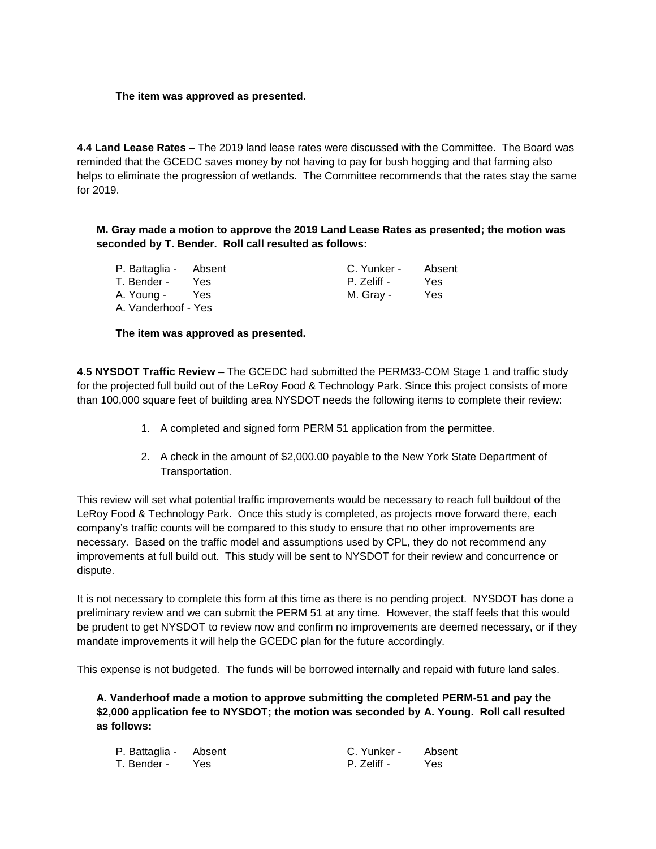# **The item was approved as presented.**

**4.4 Land Lease Rates –** The 2019 land lease rates were discussed with the Committee. The Board was reminded that the GCEDC saves money by not having to pay for bush hogging and that farming also helps to eliminate the progression of wetlands. The Committee recommends that the rates stay the same for 2019.

**M. Gray made a motion to approve the 2019 Land Lease Rates as presented; the motion was seconded by T. Bender. Roll call resulted as follows:**

| P. Battaglia - Absent |      | C. Yunker - | Absent |
|-----------------------|------|-------------|--------|
| T. Bender -           | Yes. | P. Zeliff - | Yes    |
| A. Young -            | Yes  | M. Gray -   | Yes    |
| A. Vanderhoof - Yes   |      |             |        |

**The item was approved as presented.**

**4.5 NYSDOT Traffic Review –** The GCEDC had submitted the PERM33-COM Stage 1 and traffic study for the projected full build out of the LeRoy Food & Technology Park. Since this project consists of more than 100,000 square feet of building area NYSDOT needs the following items to complete their review:

- 1. A completed and signed form PERM 51 application from the permittee.
- 2. A check in the amount of \$2,000.00 payable to the New York State Department of Transportation.

This review will set what potential traffic improvements would be necessary to reach full buildout of the LeRoy Food & Technology Park. Once this study is completed, as projects move forward there, each company's traffic counts will be compared to this study to ensure that no other improvements are necessary. Based on the traffic model and assumptions used by CPL, they do not recommend any improvements at full build out. This study will be sent to NYSDOT for their review and concurrence or dispute.

It is not necessary to complete this form at this time as there is no pending project. NYSDOT has done a preliminary review and we can submit the PERM 51 at any time. However, the staff feels that this would be prudent to get NYSDOT to review now and confirm no improvements are deemed necessary, or if they mandate improvements it will help the GCEDC plan for the future accordingly.

This expense is not budgeted. The funds will be borrowed internally and repaid with future land sales.

**A. Vanderhoof made a motion to approve submitting the completed PERM-51 and pay the \$2,000 application fee to NYSDOT; the motion was seconded by A. Young. Roll call resulted as follows:**

| P. Battaglia - Absent | C. Yunker - | Absent |
|-----------------------|-------------|--------|
| T. Bender - Yes       | P. Zeliff - | Yes    |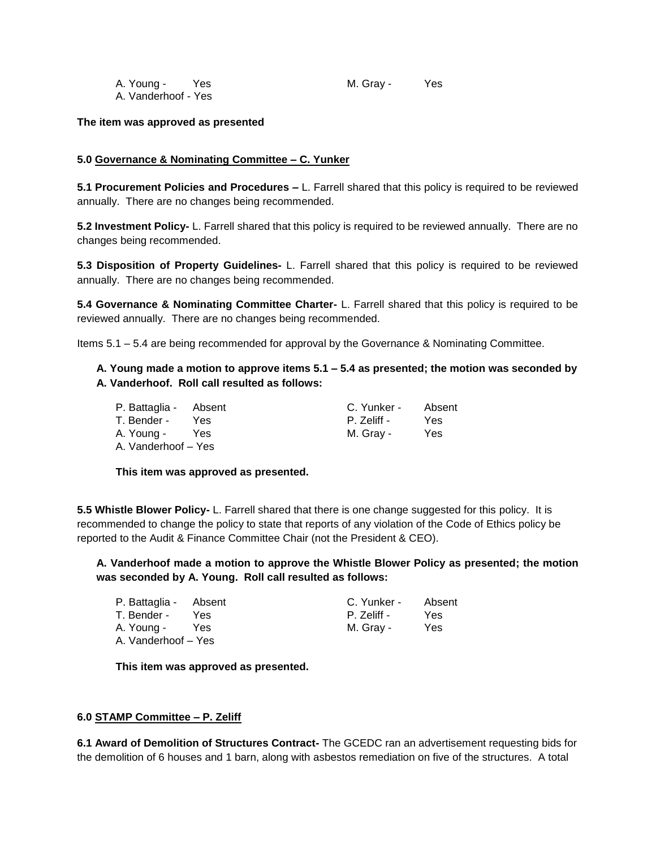| A. Young -          | Yes | M. Gray - | Yes |
|---------------------|-----|-----------|-----|
| A. Vanderhoof - Yes |     |           |     |

# **The item was approved as presented**

# **5.0 Governance & Nominating Committee – C. Yunker**

**5.1 Procurement Policies and Procedures –** L. Farrell shared that this policy is required to be reviewed annually. There are no changes being recommended.

**5.2 Investment Policy-** L. Farrell shared that this policy is required to be reviewed annually. There are no changes being recommended.

**5.3 Disposition of Property Guidelines-** L. Farrell shared that this policy is required to be reviewed annually. There are no changes being recommended.

**5.4 Governance & Nominating Committee Charter-** L. Farrell shared that this policy is required to be reviewed annually. There are no changes being recommended.

Items 5.1 – 5.4 are being recommended for approval by the Governance & Nominating Committee.

**A. Young made a motion to approve items 5.1 – 5.4 as presented; the motion was seconded by A. Vanderhoof. Roll call resulted as follows:**

| P. Battaglia - Absent |      | C. Yunker - | Absent |
|-----------------------|------|-------------|--------|
| T. Bender -           | Yes. | P. Zeliff - | Yes.   |
| A. Young -            | Yes  | M. Gray -   | Yes    |
| A. Vanderhoof - Yes   |      |             |        |

#### **This item was approved as presented.**

**5.5 Whistle Blower Policy-** L. Farrell shared that there is one change suggested for this policy. It is recommended to change the policy to state that reports of any violation of the Code of Ethics policy be reported to the Audit & Finance Committee Chair (not the President & CEO).

**A. Vanderhoof made a motion to approve the Whistle Blower Policy as presented; the motion was seconded by A. Young. Roll call resulted as follows:**

| P. Battaglia - Absent |      | C. Yunker - | Absent |
|-----------------------|------|-------------|--------|
| T. Bender -           | Yes. | P. Zeliff - | Yes    |
| A. Young -            | Yes  | M. Grav -   | Yes    |
| A. Vanderhoof - Yes   |      |             |        |

**This item was approved as presented.**

#### **6.0 STAMP Committee – P. Zeliff**

**6.1 Award of Demolition of Structures Contract-** The GCEDC ran an advertisement requesting bids for the demolition of 6 houses and 1 barn, along with asbestos remediation on five of the structures. A total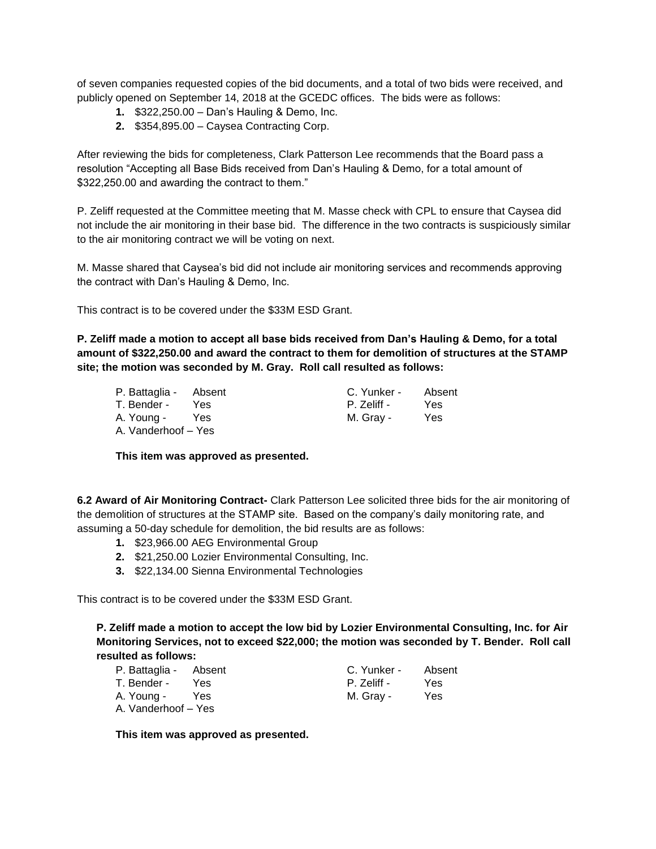of seven companies requested copies of the bid documents, and a total of two bids were received, and publicly opened on September 14, 2018 at the GCEDC offices. The bids were as follows:

- **1.** \$322,250.00 Dan's Hauling & Demo, Inc.
- **2.** \$354,895.00 Caysea Contracting Corp.

After reviewing the bids for completeness, Clark Patterson Lee recommends that the Board pass a resolution "Accepting all Base Bids received from Dan's Hauling & Demo, for a total amount of \$322,250.00 and awarding the contract to them."

P. Zeliff requested at the Committee meeting that M. Masse check with CPL to ensure that Caysea did not include the air monitoring in their base bid. The difference in the two contracts is suspiciously similar to the air monitoring contract we will be voting on next.

M. Masse shared that Caysea's bid did not include air monitoring services and recommends approving the contract with Dan's Hauling & Demo, Inc.

This contract is to be covered under the \$33M ESD Grant.

**P. Zeliff made a motion to accept all base bids received from Dan's Hauling & Demo, for a total amount of \$322,250.00 and award the contract to them for demolition of structures at the STAMP site; the motion was seconded by M. Gray. Roll call resulted as follows:**

| P. Battaglia - Absent |     | C. Yunker - | Absent |
|-----------------------|-----|-------------|--------|
| T. Bender -           | Yes | P. Zeliff - | Yes    |
| A. Young -            | Yes | M. Gray -   | Yes    |
| A. Vanderhoof - Yes   |     |             |        |

**This item was approved as presented.**

**6.2 Award of Air Monitoring Contract-** Clark Patterson Lee solicited three bids for the air monitoring of the demolition of structures at the STAMP site. Based on the company's daily monitoring rate, and assuming a 50-day schedule for demolition, the bid results are as follows:

- **1.** \$23,966.00 AEG Environmental Group
- **2.** \$21,250.00 Lozier Environmental Consulting, Inc.
- **3.** \$22,134.00 Sienna Environmental Technologies

This contract is to be covered under the \$33M ESD Grant.

**P. Zeliff made a motion to accept the low bid by Lozier Environmental Consulting, Inc. for Air Monitoring Services, not to exceed \$22,000; the motion was seconded by T. Bender. Roll call resulted as follows:**

| P. Battaglia - Absent |      | C. Yunker - | Absent |
|-----------------------|------|-------------|--------|
| T. Bender -           | Yes. | P. Zeliff - | Yes    |
| A. Young -            | Yes  | M. Gray -   | Yes    |
| A. Vanderhoof - Yes   |      |             |        |

**This item was approved as presented.**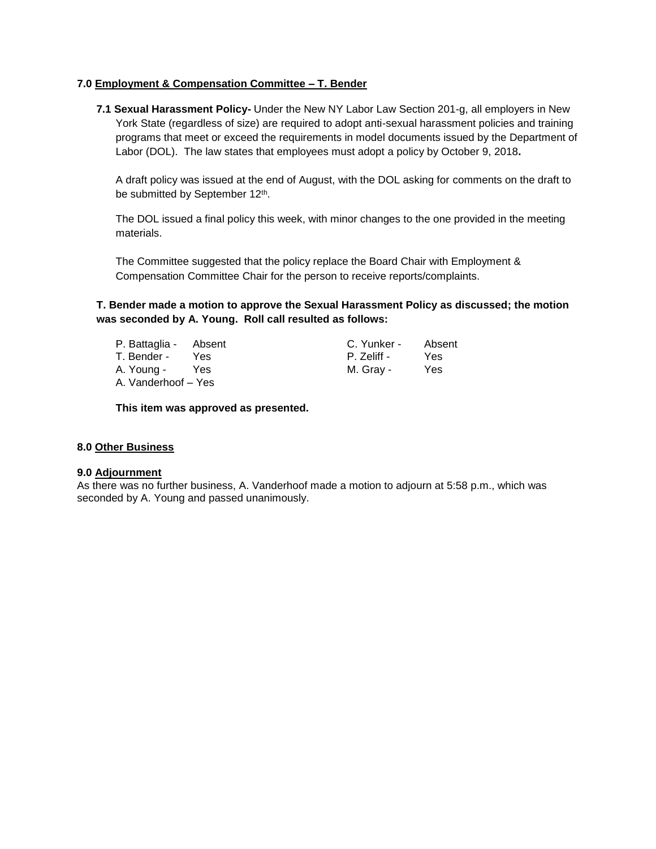# **7.0 Employment & Compensation Committee – T. Bender**

**7.1 Sexual Harassment Policy-** Under the New NY Labor Law Section 201-g, all employers in New York State (regardless of size) are required to adopt anti-sexual harassment policies and training programs that meet or exceed the requirements in model documents issued by the Department of Labor (DOL). The law states that employees must adopt a policy by October 9, 2018**.**

A draft policy was issued at the end of August, with the DOL asking for comments on the draft to be submitted by September 12<sup>th</sup>.

The DOL issued a final policy this week, with minor changes to the one provided in the meeting materials.

The Committee suggested that the policy replace the Board Chair with Employment & Compensation Committee Chair for the person to receive reports/complaints.

**T. Bender made a motion to approve the Sexual Harassment Policy as discussed; the motion was seconded by A. Young. Roll call resulted as follows:**

| P. Battaglia - Absent |      | C. Yunker - | Absent |
|-----------------------|------|-------------|--------|
| T. Bender -           | Yes. | P. Zeliff - | Yes    |
| A. Young -            | Yes. | M. Gray -   | Yes    |
| A. Vanderhoof – Yes   |      |             |        |

**This item was approved as presented.**

# **8.0 Other Business**

#### **9.0 Adjournment**

As there was no further business, A. Vanderhoof made a motion to adjourn at 5:58 p.m., which was seconded by A. Young and passed unanimously.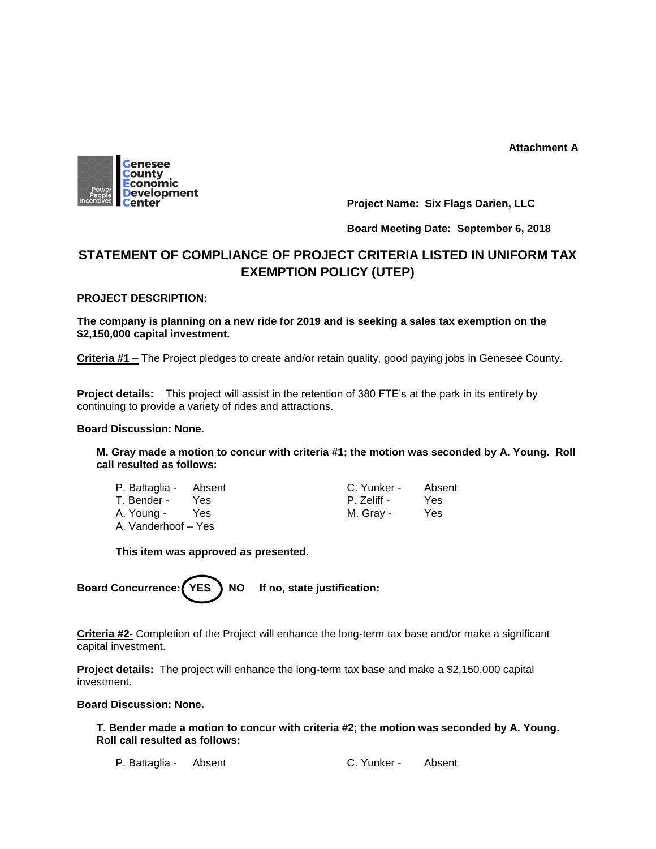**Attachment A**



**Project Name: Six Flags Darien, LLC**

# **Board Meeting Date: September 6, 2018**

# **STATEMENT OF COMPLIANCE OF PROJECT CRITERIA LISTED IN UNIFORM TAX EXEMPTION POLICY (UTEP)**

# **PROJECT DESCRIPTION:**

**The company is planning on a new ride for 2019 and is seeking a sales tax exemption on the \$2,150,000 capital investment.** 

**Criteria #1 –** The Project pledges to create and/or retain quality, good paying jobs in Genesee County.

**Project details:** This project will assist in the retention of 380 FTE's at the park in its entirety by continuing to provide a variety of rides and attractions.

## **Board Discussion: None.**

**M. Gray made a motion to concur with criteria #1; the motion was seconded by A. Young. Roll call resulted as follows:**

- T. Bender Yes P. Zeliff Yes A. Young - Yes M. Gray - Yes A. Vanderhoof – Yes
- P. Battaglia Absent C. Yunker Absent

# **This item was approved as presented.**



**Criteria #2-** Completion of the Project will enhance the long-term tax base and/or make a significant capital investment.

**Project details:** The project will enhance the long-term tax base and make a \$2,150,000 capital investment.

# **Board Discussion: None.**

**T. Bender made a motion to concur with criteria #2; the motion was seconded by A. Young. Roll call resulted as follows:**

P. Battaglia - Absent C. Yunker - Absent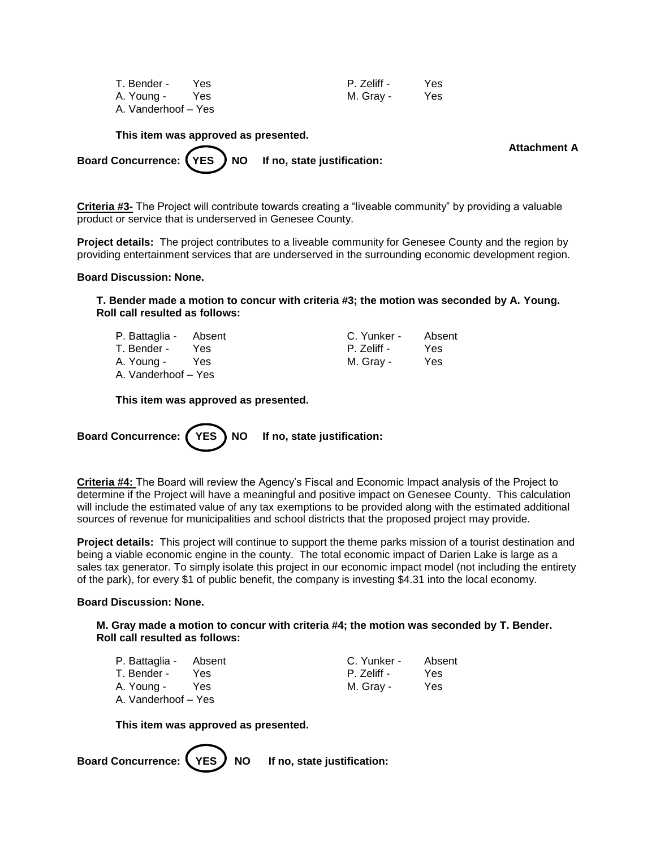| T. Bender -         | Yes | P. Zeliff - | Yes |
|---------------------|-----|-------------|-----|
| A. Young -          | Yes | M. Gray -   | Yes |
| A. Vanderhoof – Yes |     |             |     |

**This item was approved as presented.**

**Attachment A**

Board Concurrence: (YES) NO If no, state justification:

**Criteria #3-** The Project will contribute towards creating a "liveable community" by providing a valuable product or service that is underserved in Genesee County.

**Project details:** The project contributes to a liveable community for Genesee County and the region by providing entertainment services that are underserved in the surrounding economic development region.

#### **Board Discussion: None.**

**T. Bender made a motion to concur with criteria #3; the motion was seconded by A. Young. Roll call resulted as follows:**

| P. Battaglia - Absent |      | C. Yunker - | Absent |
|-----------------------|------|-------------|--------|
| T. Bender -           | Yes. | P. Zeliff - | Yes    |
| A. Young -            | Yes  | M. Grav -   | Yes    |
| A. Vanderhoof - Yes   |      |             |        |

**This item was approved as presented.**

Board Concurrence: (YES) NO If no, state justification:

**Criteria #4:** The Board will review the Agency's Fiscal and Economic Impact analysis of the Project to determine if the Project will have a meaningful and positive impact on Genesee County. This calculation will include the estimated value of any tax exemptions to be provided along with the estimated additional sources of revenue for municipalities and school districts that the proposed project may provide.

**Project details:** This project will continue to support the theme parks mission of a tourist destination and being a viable economic engine in the county. The total economic impact of Darien Lake is large as a sales tax generator. To simply isolate this project in our economic impact model (not including the entirety of the park), for every \$1 of public benefit, the company is investing \$4.31 into the local economy.

#### **Board Discussion: None.**

**M. Gray made a motion to concur with criteria #4; the motion was seconded by T. Bender. Roll call resulted as follows:**

| P. Battaglia - Absent |      | C. Yunker - | Absent |
|-----------------------|------|-------------|--------|
| T. Bender -           | Yes. | P. Zeliff - | Yes    |
| A. Young -            | Yes  | M. Gray -   | Yes    |
| A. Vanderhoof - Yes   |      |             |        |

**This item was approved as presented.**

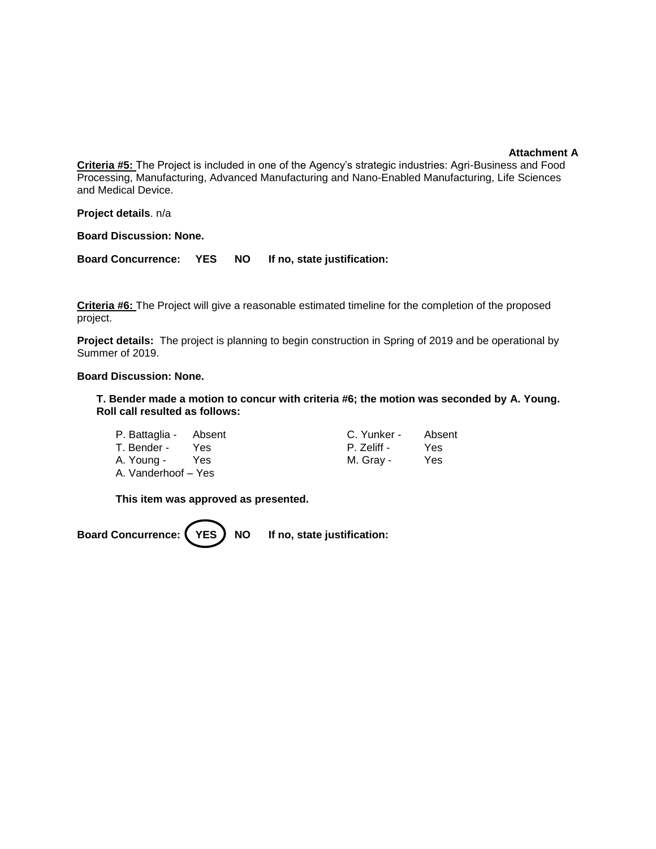#### **Attachment A**

**Criteria #5:** The Project is included in one of the Agency's strategic industries: Agri-Business and Food Processing, Manufacturing, Advanced Manufacturing and Nano-Enabled Manufacturing, Life Sciences and Medical Device.

**Project details**. n/a

**Board Discussion: None.**

**Board Concurrence: YES NO If no, state justification:** 

**Criteria #6:** The Project will give a reasonable estimated timeline for the completion of the proposed project.

**Project details:** The project is planning to begin construction in Spring of 2019 and be operational by Summer of 2019.

#### **Board Discussion: None.**

**T. Bender made a motion to concur with criteria #6; the motion was seconded by A. Young. Roll call resulted as follows:**

| P. Battaglia - Absent |      | C. Yunker - | Absent |
|-----------------------|------|-------------|--------|
| T. Bender -           | Yes. | P. Zeliff - | Yes    |
| A. Young -            | Yes  | M. Gray -   | Yes    |
| A. Vanderhoof – Yes   |      |             |        |

**This item was approved as presented.**

Board Concurrence: (YES) NO If no, state justification: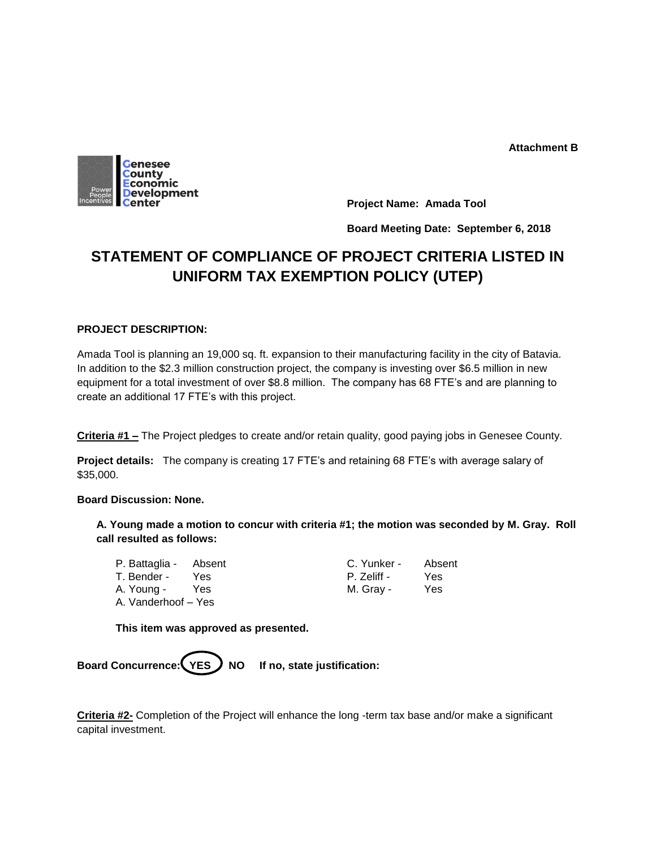

**Project Name: Amada Tool**

**Board Meeting Date: September 6, 2018**

# **STATEMENT OF COMPLIANCE OF PROJECT CRITERIA LISTED IN UNIFORM TAX EXEMPTION POLICY (UTEP)**

# **PROJECT DESCRIPTION:**

Amada Tool is planning an 19,000 sq. ft. expansion to their manufacturing facility in the city of Batavia. In addition to the \$2.3 million construction project, the company is investing over \$6.5 million in new equipment for a total investment of over \$8.8 million. The company has 68 FTE's and are planning to create an additional 17 FTE's with this project.

**Criteria #1 –** The Project pledges to create and/or retain quality, good paying jobs in Genesee County.

**Project details:** The company is creating 17 FTE's and retaining 68 FTE's with average salary of \$35,000.

# **Board Discussion: None.**

**A. Young made a motion to concur with criteria #1; the motion was seconded by M. Gray. Roll call resulted as follows:**

| P. Battaglia - Absent |      | C. Yunker - | Absent |
|-----------------------|------|-------------|--------|
| T. Bender -           | Yes  | P. Zeliff - | Yes    |
| A. Young -            | Yes. | M. Grav -   | Yes    |
| A. Vanderhoof - Yes   |      |             |        |

**This item was approved as presented.**



**Criteria #2-** Completion of the Project will enhance the long -term tax base and/or make a significant capital investment.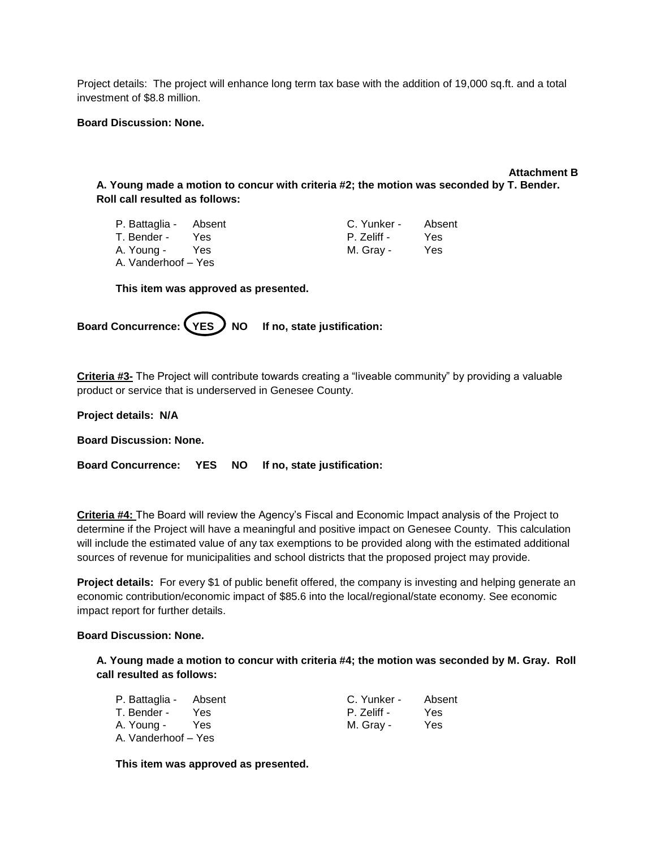Project details: The project will enhance long term tax base with the addition of 19,000 sq.ft. and a total investment of \$8.8 million.

#### **Board Discussion: None.**

**Attachment B A. Young made a motion to concur with criteria #2; the motion was seconded by T. Bender. Roll call resulted as follows:**

| P. Battaglia - Absent |            | C. Yunker - | Absent |
|-----------------------|------------|-------------|--------|
| T. Bender -           | <b>Yes</b> | P. Zeliff - | Yes    |
| A. Young -            | Yes        | M. Grav -   | Yes    |
| A. Vanderhoof - Yes   |            |             |        |

**This item was approved as presented.**

Board Concurrence: (YES ) NO If no, state justification:

**Criteria #3-** The Project will contribute towards creating a "liveable community" by providing a valuable product or service that is underserved in Genesee County.

**Project details: N/A**

**Board Discussion: None.**

**Board Concurrence: YES NO If no, state justification:**

**Criteria #4:** The Board will review the Agency's Fiscal and Economic Impact analysis of the Project to determine if the Project will have a meaningful and positive impact on Genesee County. This calculation will include the estimated value of any tax exemptions to be provided along with the estimated additional sources of revenue for municipalities and school districts that the proposed project may provide.

**Project details:** For every \$1 of public benefit offered, the company is investing and helping generate an economic contribution/economic impact of \$85.6 into the local/regional/state economy. See economic impact report for further details.

#### **Board Discussion: None.**

**A. Young made a motion to concur with criteria #4; the motion was seconded by M. Gray. Roll call resulted as follows:**

| P. Battaglia - Absent |      | C. Yunker - | Absent |
|-----------------------|------|-------------|--------|
| T. Bender -           | Yes. | P. Zeliff - | Yes    |
| A. Young -            | Yes  | M. Gray -   | Yes    |
| A. Vanderhoof - Yes   |      |             |        |

**This item was approved as presented.**